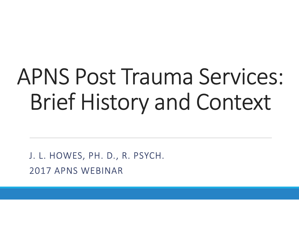## APNS Post Trauma Services: Brief History and Context

J. L. HOWES, PH. D., R. PSYCH. 2017 APNS WEBINAR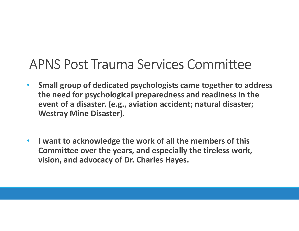#### APNS Post Trauma Services Committee

- Small group of dedicated psychologists came together to address the need for psychological preparedness and readiness in the event of a disaster. (e.g., aviation accident; natural disaster; PNS Post Trauma Services C<br>
Small group of dedicated psychologists cant<br>
the need for psychological preparedness ar<br>
event of a disaster. (e.g., aviation accident;<br>
Westray Mine Disaster).<br>
I want to acknowledge the work o
- I want to acknowledge the work of all the members of this Committee over the years, and especially the tireless work, vision, and advocacy of Dr. Charles Hayes.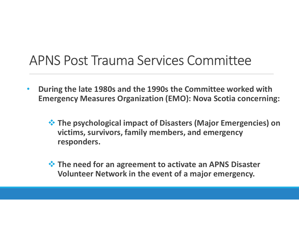### APNS Post Trauma Services Committee

- During the late 1980s and the 1990s the Committee worked with Emergency Measures Organization (EMO): Nova Scotia concerning:
	- $\dots$  **The psychological impact of Disasters (Major Emergencies) on** victims, survivors, family members, and emergency responders.
	- $\dots$  **The need for an agreement to activate an APNS Disaster** Volunteer Network in the event of a major emergency.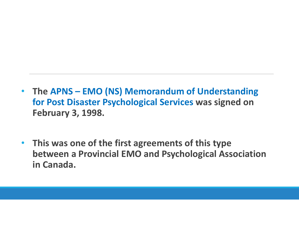- The APNS EMO (NS) Memorandum of Understanding<br>for Post Disaster Psychological Services was signed on<br>February 3, 1998. for Post Disaster Psychological Services was signed on February 3, 1998.
- This was one of the first agreements of this type between a Provincial EMO and Psychological Association in Canada.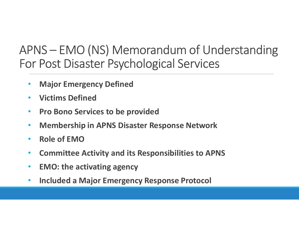# APNS – EMO (NS) Memorandum of Understanding<br>For Post Disaster Psychological Services For Post Disaster Psychological Services

- **Major Emergency Defined**
- Victims Defined
- Pro Bono Services to be provided
- Membership in APNS Disaster Response Network
- Role of EMO
- Committee Activity and its Responsibilities to APNS
- EMO: the activating agency
- Included a Major Emergency Response Protocol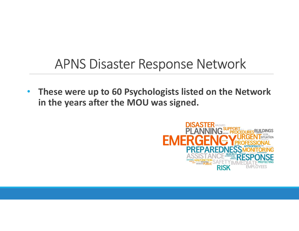### APNS Disaster Response Network

• These were up to 60 Psychologists listed on the Network in the years after the MOU was signed.

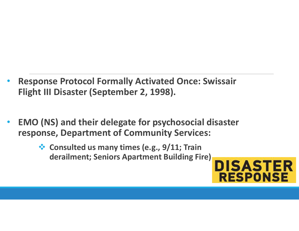- Response Protocol Formally Activated Once: Swissair Flight III Disaster (September 2, 1998).
- EMO (NS) and their delegate for psychosocial disaster response, Department of Community Services:
	- ❖ Consulted us many times (e.g., 9/11; Train derailment; Seniors Apartment Building Fire)